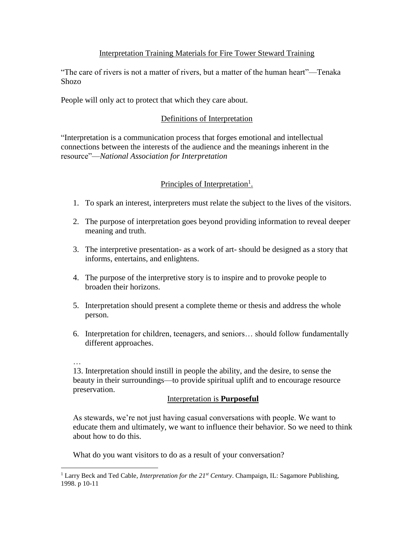### Interpretation Training Materials for Fire Tower Steward Training

"The care of rivers is not a matter of rivers, but a matter of the human heart"—Tenaka Shozo

People will only act to protect that which they care about.

### Definitions of Interpretation

"Interpretation is a communication process that forges emotional and intellectual connections between the interests of the audience and the meanings inherent in the resource"—*National Association for Interpretation*

# Principles of Interpretation<sup>1</sup>.

- 1. To spark an interest, interpreters must relate the subject to the lives of the visitors.
- 2. The purpose of interpretation goes beyond providing information to reveal deeper meaning and truth.
- 3. The interpretive presentation- as a work of art- should be designed as a story that informs, entertains, and enlightens.
- 4. The purpose of the interpretive story is to inspire and to provoke people to broaden their horizons.
- 5. Interpretation should present a complete theme or thesis and address the whole person.
- 6. Interpretation for children, teenagers, and seniors… should follow fundamentally different approaches.
- …

 $\overline{a}$ 

13. Interpretation should instill in people the ability, and the desire, to sense the beauty in their surroundings—to provide spiritual uplift and to encourage resource preservation.

# Interpretation is **Purposeful**

As stewards, we're not just having casual conversations with people. We want to educate them and ultimately, we want to influence their behavior. So we need to think about how to do this.

What do you want visitors to do as a result of your conversation?

<sup>1</sup> Larry Beck and Ted Cable*, Interpretation for the 21st Century*. Champaign, IL: Sagamore Publishing, 1998. p 10-11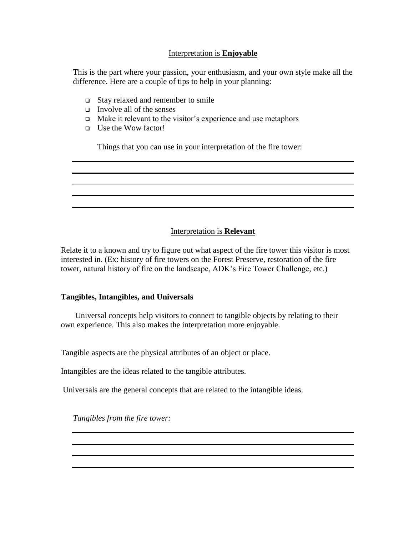### Interpretation is **Enjoyable**

This is the part where your passion, your enthusiasm, and your own style make all the difference. Here are a couple of tips to help in your planning:

- Stay relaxed and remember to smile
- Involve all of the senses
- $\Box$  Make it relevant to the visitor's experience and use metaphors
- Use the Wow factor!

Things that you can use in your interpretation of the fire tower:

#### Interpretation is **Relevant**

Relate it to a known and try to figure out what aspect of the fire tower this visitor is most interested in. (Ex: history of fire towers on the Forest Preserve, restoration of the fire tower, natural history of fire on the landscape, ADK's Fire Tower Challenge, etc.)

#### **Tangibles, Intangibles, and Universals**

 Universal concepts help visitors to connect to tangible objects by relating to their own experience. This also makes the interpretation more enjoyable.

Tangible aspects are the physical attributes of an object or place.

Intangibles are the ideas related to the tangible attributes.

Universals are the general concepts that are related to the intangible ideas.

*Tangibles from the fire tower:*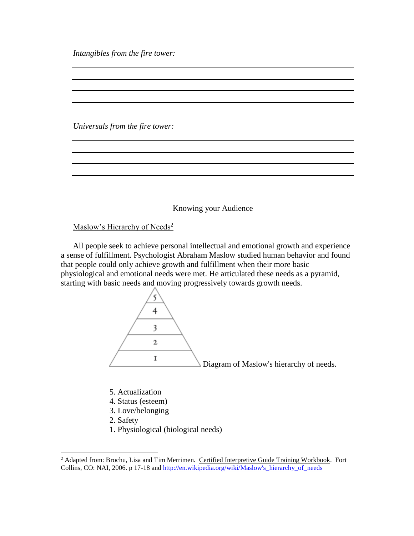*Intangibles from the fire tower:*

*Universals from the fire tower:*

Knowing your Audience

Maslow's Hierarchy of Needs<sup>2</sup>

 All people seek to achieve personal intellectual and emotional growth and experience a sense of fulfillment. Psychologist Abraham Maslow studied human behavior and found that people could only achieve growth and fulfillment when their more basic physiological and emotional needs were met. He articulated these needs as a pyramid, starting with basic needs and moving progressively towards growth needs.



- 5. Actualization
- 4. Status (esteem)
- 3. Love/belonging
- 2. Safety

 $\overline{a}$ 

1. Physiological (biological needs)

<sup>&</sup>lt;sup>2</sup> Adapted from: Brochu, Lisa and Tim Merrimen. Certified Interpretive Guide Training Workbook. Fort Collins, CO: NAI, 2006. p 17-18 and http://en.wikipedia.org/wiki/Maslow's hierarchy of needs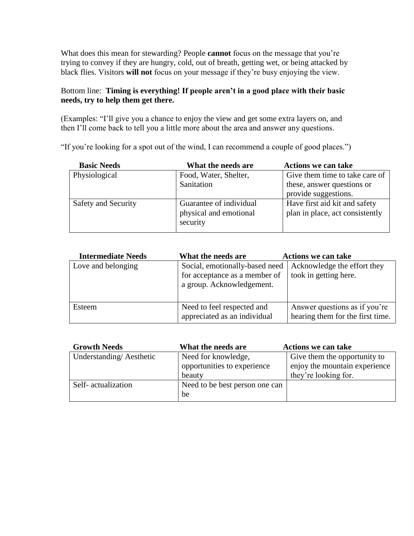What does this mean for stewarding? People **cannot** focus on the message that you're trying to convey if they are hungry, cold, out of breath, getting wet, or being attacked by black flies. Visitors **will not** focus on your message if they're busy enjoying the view.

# Bottom line: **Timing is everything! If people aren't in a good place with their basic needs, try to help them get there.**

(Examples: "I'll give you a chance to enjoy the view and get some extra layers on, and then I'll come back to tell you a little more about the area and answer any questions.

"If you're looking for a spot out of the wind, I can recommend a couple of good places.")

| <b>Basic Needs</b>  | What the needs are      | <b>Actions we can take</b>      |
|---------------------|-------------------------|---------------------------------|
| Physiological       | Food, Water, Shelter,   | Give them time to take care of  |
|                     | Sanitation              | these, answer questions or      |
|                     |                         | provide suggestions.            |
| Safety and Security | Guarantee of individual | Have first aid kit and safety   |
|                     | physical and emotional  | plan in place, act consistently |
|                     | security                |                                 |
|                     |                         |                                 |

| <b>Intermediate Needs</b> | What the needs are                                                                           | <b>Actions we can take</b>                                        |
|---------------------------|----------------------------------------------------------------------------------------------|-------------------------------------------------------------------|
| Love and belonging        | Social, emotionally-based need<br>for acceptance as a member of<br>a group. Acknowledgement. | Acknowledge the effort they<br>took in getting here.              |
| Esteem                    | Need to feel respected and<br>appreciated as an individual                                   | Answer questions as if you're<br>hearing them for the first time. |

| <b>Growth Needs</b>     | What the needs are             | <b>Actions we can take</b>    |
|-------------------------|--------------------------------|-------------------------------|
| Understanding/Aesthetic | Need for knowledge,            | Give them the opportunity to  |
|                         | opportunities to experience    | enjoy the mountain experience |
|                         | beauty                         | they're looking for.          |
| Self-actualization      | Need to be best person one can |                               |
|                         | be                             |                               |